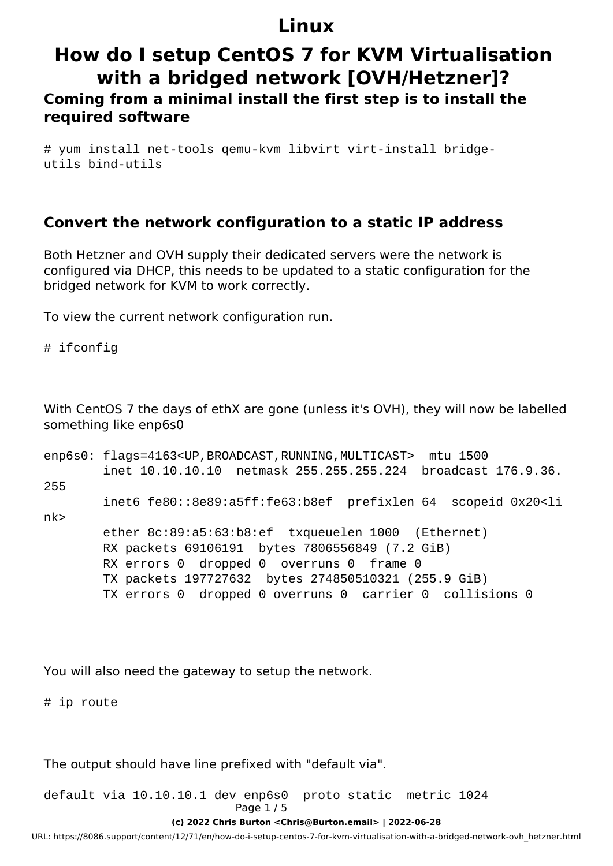# **How do I setup CentOS 7 for KVM Virtualisation with a bridged network [OVH/Hetzner]?**

### **Coming from a minimal install the first step is to install the required software**

# yum install net-tools qemu-kvm libvirt virt-install bridgeutils bind-utils

### **Convert the network configuration to a static IP address**

Both Hetzner and OVH supply their dedicated servers were the network is configured via DHCP, this needs to be updated to a static configuration for the bridged network for KVM to work correctly.

To view the current network configuration run.

# ifconfig

With CentOS 7 the days of ethX are gone (unless it's OVH), they will now be labelled something like enp6s0

| enp6s0: flags=4163 <up, broadcast,="" multicast="" running,=""> mtu 1500</up,> |
|--------------------------------------------------------------------------------|
| inet 10.10.10.10 netmask 255.255.255.224 broadcast 176.9.36.                   |
|                                                                                |
| inet6 fe80::8e89:a5ff:fe63:b8ef prefixlen 64 scopeid 0x20 <li< td=""></li<>    |
|                                                                                |
| ether 8c:89:a5:63:b8:ef txqueuelen 1000 (Ethernet)                             |
| RX packets 69106191 bytes 7806556849 (7.2 GiB)                                 |
| RX errors 0 dropped 0 overruns 0 frame 0                                       |
| TX packets 197727632 bytes 274850510321 (255.9 GiB)                            |
| TX errors 0 dropped 0 overruns 0 carrier 0 collisions 0                        |
|                                                                                |

You will also need the gateway to setup the network.

# ip route

The output should have line prefixed with "default via".

default via 10.10.10.1 dev enp6s0 proto static metric 1024 Page 1 / 5

**(c) 2022 Chris Burton <Chris@Burton.email> | 2022-06-28**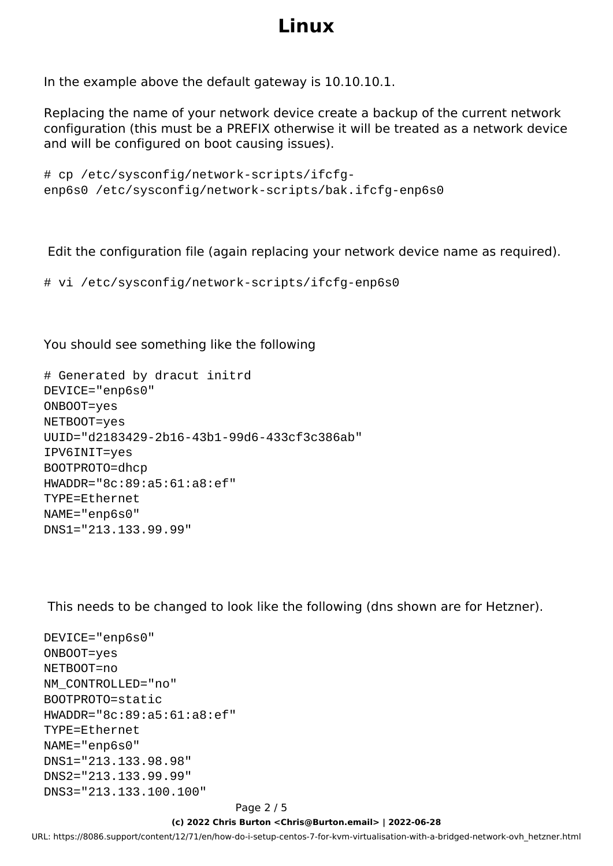In the example above the default gateway is 10.10.10.1.

Replacing the name of your network device create a backup of the current network configuration (this must be a PREFIX otherwise it will be treated as a network device and will be configured on boot causing issues).

```
# cp /etc/sysconfig/network-scripts/ifcfg-
enp6s0 /etc/sysconfig/network-scripts/bak.ifcfg-enp6s0
```
Edit the configuration file (again replacing your network device name as required).

# vi /etc/sysconfig/network-scripts/ifcfg-enp6s0

You should see something like the following

```
# Generated by dracut initrd
DEVICE="enp6s0"
ONBOOT=yes
NETBOOT=yes
UUID="d2183429-2b16-43b1-99d6-433cf3c386ab"
IPV6INIT=yes
BOOTPROTO=dhcp
HWADDR="8c:89:a5:61:a8:ef"
TYPE=Ethernet
NAME="enp6s0"
DNS1="213.133.99.99"
```
This needs to be changed to look like the following (dns shown are for Hetzner).

```
DEVICE="enp6s0"
ONBOOT=yes
NETBOOT=no
NM_CONTROLLED="no"
BOOTPROTO=static
HWADDR="8c:89:a5:61:a8:ef"
TYPE=Ethernet
NAME="enp6s0"
DNS1="213.133.98.98"
DNS2="213.133.99.99"
DNS3="213.133.100.100"
```
#### Page 2 / 5

#### **(c) 2022 Chris Burton <Chris@Burton.email> | 2022-06-28**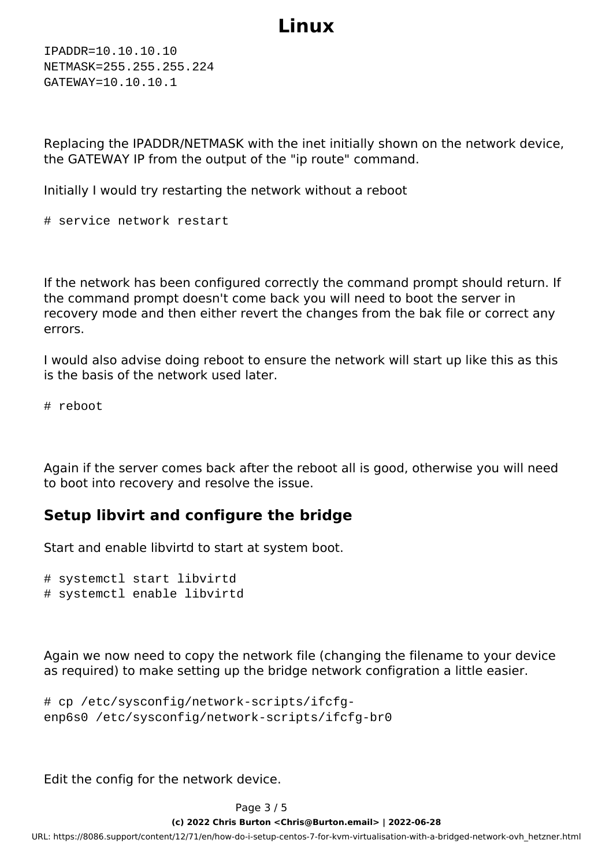IPADDR=10.10.10.10 NETMASK=255.255.255.224 GATEWAY=10.10.10.1

Replacing the IPADDR/NETMASK with the inet initially shown on the network device, the GATEWAY IP from the output of the "ip route" command.

Initially I would try restarting the network without a reboot

# service network restart

If the network has been configured correctly the command prompt should return. If the command prompt doesn't come back you will need to boot the server in recovery mode and then either revert the changes from the bak file or correct any errors.

I would also advise doing reboot to ensure the network will start up like this as this is the basis of the network used later.

# reboot

Again if the server comes back after the reboot all is good, otherwise you will need to boot into recovery and resolve the issue.

### **Setup libvirt and configure the bridge**

Start and enable libvirtd to start at system boot.

```
# systemctl start libvirtd
# systemctl enable libvirtd
```
Again we now need to copy the network file (changing the filename to your device as required) to make setting up the bridge network configration a little easier.

```
# cp /etc/sysconfig/network-scripts/ifcfg-
enp6s0 /etc/sysconfig/network-scripts/ifcfg-br0
```
Edit the config for the network device.

Page 3 / 5

**(c) 2022 Chris Burton <Chris@Burton.email> | 2022-06-28**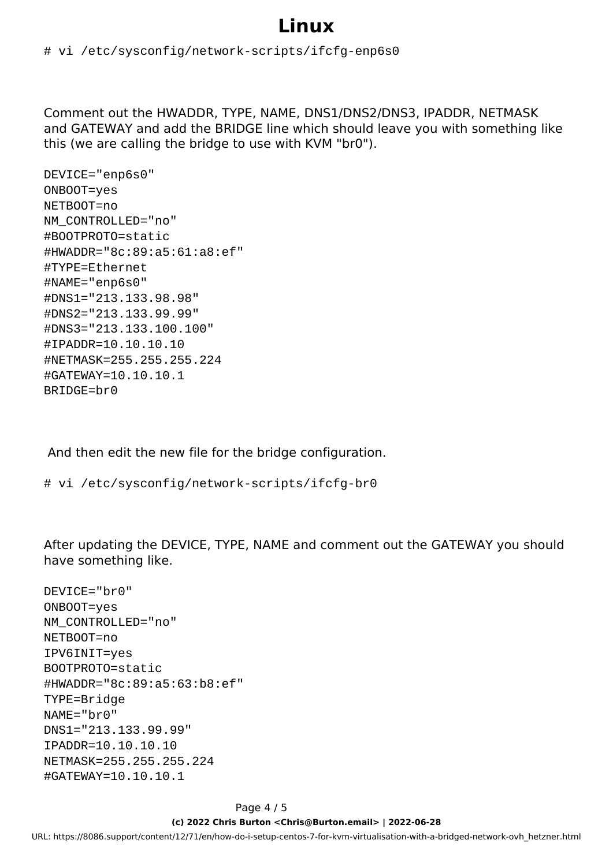#### # vi /etc/sysconfig/network-scripts/ifcfg-enp6s0

Comment out the HWADDR, TYPE, NAME, DNS1/DNS2/DNS3, IPADDR, NETMASK and GATEWAY and add the BRIDGE line which should leave you with something like this (we are calling the bridge to use with KVM "br0").

DEVICE="enp6s0" ONBOOT=yes NETBOOT=no NM\_CONTROLLED="no" #BOOTPROTO=static #HWADDR="8c:89:a5:61:a8:ef" #TYPE=Ethernet #NAME="enp6s0" #DNS1="213.133.98.98" #DNS2="213.133.99.99" #DNS3="213.133.100.100" #IPADDR=10.10.10.10 #NETMASK=255.255.255.224 #GATEWAY=10.10.10.1 BRIDGE=br0

And then edit the new file for the bridge configuration.

# vi /etc/sysconfig/network-scripts/ifcfg-br0

After updating the DEVICE, TYPE, NAME and comment out the GATEWAY you should have something like.

```
DEVICE="br0"
ONBOOT=yes
NM_CONTROLLED="no"
NETBOOT=no
IPV6INIT=yes
BOOTPROTO=static
#HWADDR="8c:89:a5:63:b8:ef"
TYPE=Bridge
NAME="br0"
DNS1="213.133.99.99"
IPADDR=10.10.10.10
NETMASK=255.255.255.224
#GATEWAY=10.10.10.1
```
#### Page 4 / 5

#### **(c) 2022 Chris Burton <Chris@Burton.email> | 2022-06-28**